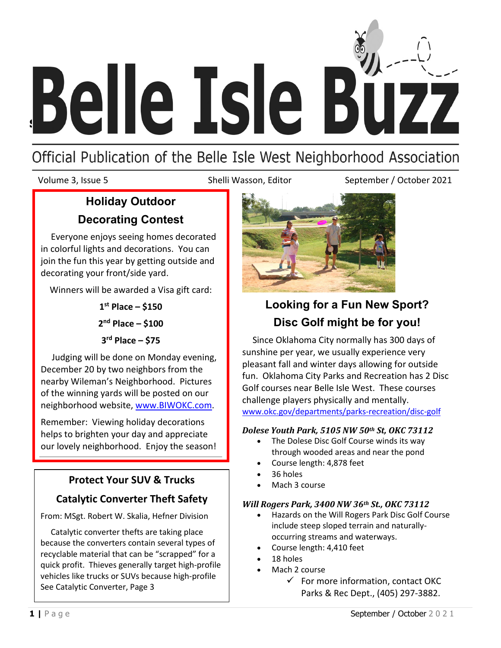

# Official Publication of the Belle Isle West Neighborhood Association

Volume 3, Issue 5 Shelli Wasson, Editor September / October 2021

# **Holiday Outdoor Decorating Contest**

 Everyone enjoys seeing homes decorated in colorful lights and decorations. You can join the fun this year by getting outside and decorating your front/side yard.

Winners will be awarded a Visa gift card:

**1st Place – \$150**

**2nd Place – \$100**

**3rd Place – \$75**

 Judging will be done on Monday evening, December 20 by two neighbors from the nearby Wileman's Neighborhood. Pictures of the winning yards will be posted on our neighborhood website, [www.BIWOKC.com.](http://www.biwokc.com/)

Remember: Viewing holiday decorations helps to brighten your day and appreciate our lovely neighborhood. Enjoy the season!

## **Protect Your SUV & Trucks**

## **Catalytic Converter Theft Safety**

From: MSgt. Robert W. Skalia, Hefner Division

 Catalytic converter thefts are taking place because the converters contain several types of recyclable material that can be "scrapped" for a quick profit. Thieves generally target high-profile vehicles like trucks or SUVs because high-profile See Catalytic Converter, Page 3



# **Looking for a Fun New Sport? Disc Golf might be for you!**

 Since Oklahoma City normally has 300 days of sunshine per year, we usually experience very pleasant fall and winter days allowing for outside fun. Oklahoma City Parks and Recreation has 2 Disc Golf courses near Belle Isle West. These courses challenge players physically and mentally. [www.okc.gov/departments/parks-recreation/disc-golf](http://www.okc.gov/departments/parks-recreation/disc-golf)

#### *Dolese Youth Park, 5105 NW 50th St, OKC 73112*

- The Dolese Disc Golf Course winds its way through wooded areas and near the pond
- Course length: 4,878 feet
- 36 holes
- Mach 3 course

### *Will Rogers Park, 3400 NW 36th St., OKC 73112*

- Hazards on the Will Rogers Park Disc Golf Course include steep sloped terrain and naturallyoccurring streams and waterways.
- Course length: 4,410 feet
- 18 holes
- Mach 2 course
	- $\checkmark$  For more information, contact OKC Parks & Rec Dept., (405) 297-3882.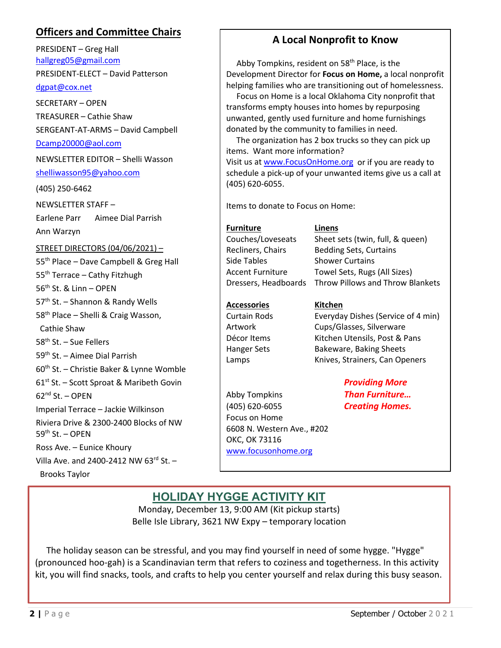## **Officers and Committee Chairs**

PRESIDENT – Greg Hall [hallgreg05@gmail.com](mailto:hallgreg05@gmail.com)

PRESIDENT-ELECT – David Patterson

#### [dgpat@cox.net](mailto:dgpat@cox.net)

SECRETARY – OPEN TREASURER – Cathie Shaw SERGEANT-AT-ARMS – David Campbell

#### [Dcamp20000@aol.com](mailto:Dcamp20000@aol.com)

NEWSLETTER EDITOR – Shelli Wasson

# [shelliwasson95@yahoo.com](mailto:%20shelliwasson95@yahoo.com)

(405) 250-6462

NEWSLETTER STAFF –

Earlene Parr Aimee Dial Parrish Ann Warzyn

#### STREET DIRECTORS (04/06/2021) –

55<sup>th</sup> Place – Dave Campbell & Greg Hall 55th Terrace – Cathy Fitzhugh 56th St. & Linn – OPEN 57<sup>th</sup> St. – Shannon & Randy Wells 58th Place – Shelli & Craig Wasson, Cathie Shaw 58th St. – Sue Fellers 59th St. – Aimee Dial Parrish 60th St. – Christie Baker & Lynne Womble 61<sup>st</sup> St. – Scott Sproat & Maribeth Govin  $62<sup>nd</sup>$  St. – OPEN Imperial Terrace – Jackie Wilkinson Riviera Drive & 2300-2400 Blocks of NW  $59<sup>th</sup>$  St. – OPEN Ross Ave. – Eunice Khoury Villa Ave. and 2400-2412 NW  $63^{rd}$  St. -Brooks Taylor

## **A Local Nonprofit to Know**

Abby Tompkins, resident on 58<sup>th</sup> Place, is the Development Director for **Focus on Home,** a local nonprofit helping families who are transitioning out of homelessness.

 Focus on Home is a local Oklahoma City nonprofit that transforms empty houses into homes by repurposing unwanted, gently used furniture and home furnishings donated by the community to families in need.

 The organization has 2 box trucks so they can pick up items. Want more information? Visit us a[t www.FocusOnHome.org](http://www.focusonhome.org/) or if you are ready to schedule a pick-up of your unwanted items give us a call at (405) 620-6055.

Items to donate to Focus on Home:

#### **Furniture Linens**

Side Tables Shower Curtains

Couches/Loveseats Sheet sets (twin, full, & queen) Recliners, Chairs Bedding Sets, Curtains Accent Furniture Towel Sets, Rugs (All Sizes) Dressers, Headboards Throw Pillows and Throw Blankets

#### **Accessories Kitchen**

Curtain Rods Everyday Dishes (Service of 4 min) Artwork Cups/Glasses, Silverware

Focus on Home

OKC, OK 73116

6608 N. Western Ave., #202

[www.focusonhome.org](http://www.focusonhome.org/)

## Décor Items Kitchen Utensils, Post & Pans Hanger Sets Bakeware, Baking Sheets Lamps **Knives, Strainers, Can Openers** *Providing More*

Abby Tompkins *Than Furniture…* (405) 620-6055 *Creating Homes.*

# **[HOLIDAY HYGGE ACTIVITY KIT](https://libraryaware.com/2EK3PW?SID=f27bc438-0199-40a7-98b6-fd1abbb80aa3)**

Monday, December 13, 9:00 AM (Kit pickup starts) Belle Isle Library, 3621 NW Expy – temporary location

 The holiday season can be stressful, and you may find yourself in need of some hygge. "Hygge" (pronounced hoo-gah) is a Scandinavian term that refers to coziness and togetherness. In this activity kit, you will find snacks, tools, and crafts to help you center yourself and relax during this busy season.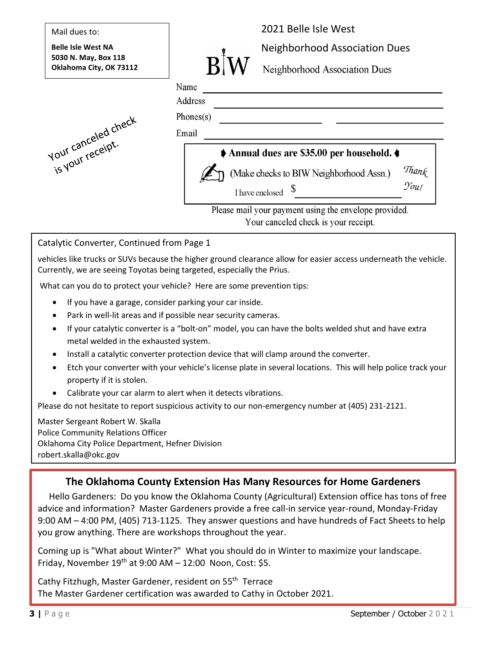

#### Catalytic Converter, Continued from Page 1

vehicles like trucks or SUVs because the higher ground clearance allow for easier access underneath the vehicle. Currently, we are seeing Toyotas being targeted, especially the Prius.

What can you do to protect your vehicle? Here are some prevention tips:

- If you have a garage, consider parking your car inside.
- Park in well-lit areas and if possible near security cameras.
- If your catalytic converter is a "bolt-on" model, you can have the bolts welded shut and have extra metal welded in the exhausted system.
- Install a catalytic converter protection device that will clamp around the converter.
- Etch your converter with your vehicle's license plate in several locations. This will help police track your property if it is stolen.
- Calibrate your car alarm to alert when it detects vibrations.

Please do not hesitate to report suspicious activity to our non-emergency number at (405) 231-2121.

Master Sergeant Robert W. Skalla Police Community Relations Officer Oklahoma City Police Department, Hefner Division robert.skalla@okc.gov

## **The Oklahoma County Extension Has Many Resources for Home Gardeners**

 Hello Gardeners: Do you know the Oklahoma County (Agricultural) Extension office has tons of free advice and information? Master Gardeners provide a free call-in service year-round, Monday-Friday 9:00 AM – 4:00 PM, (405) 713-1125. They answer questions and have hundreds of Fact Sheets to help you grow anything. There are workshops throughout the year.

Coming up is "What about Winter?" What you should do in Winter to maximize your landscape. Friday, November  $19<sup>th</sup>$  at 9:00 AM - 12:00 Noon, Cost: \$5.

Cathy Fitzhugh, Master Gardener, resident on 55<sup>th</sup> Terrace The Master Gardener certification was awarded to Cathy in October 2021.